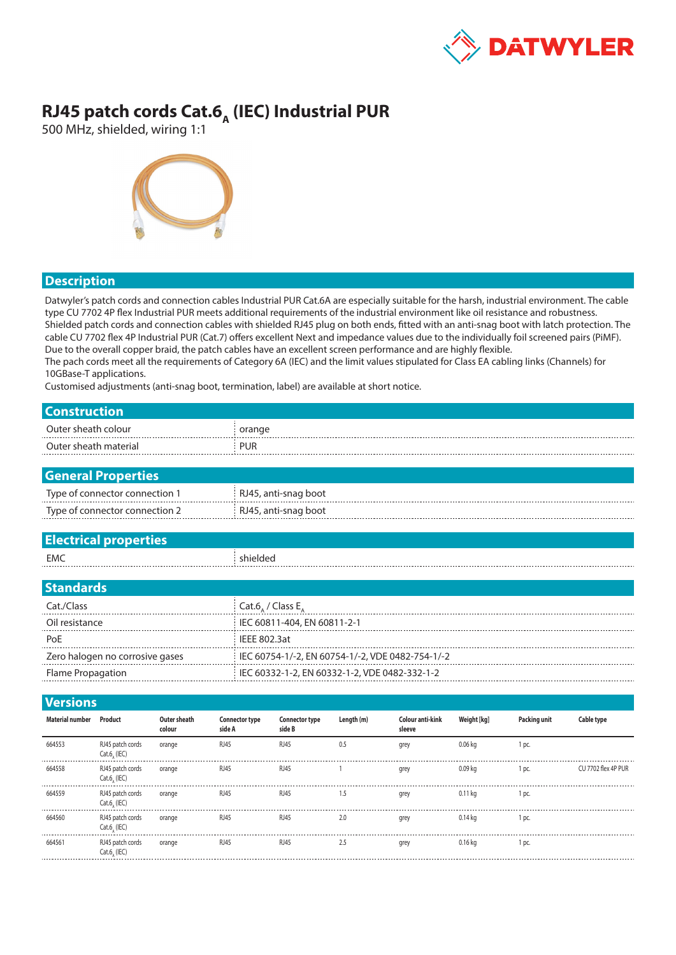

## **RJ45 patch cords Cat.6<sub>A</sub> (IEC) Industrial PUR**

500 MHz, shielded, wiring 1:1



## **Description**

Datwyler's patch cords and connection cables Industrial PUR Cat.6A are especially suitable for the harsh, industrial environment. The cable type CU 7702 4P flex Industrial PUR meets additional requirements of the industrial environment like oil resistance and robustness. Shielded patch cords and connection cables with shielded RJ45 plug on both ends, fitted with an anti-snag boot with latch protection. The cable CU 7702 flex 4P Industrial PUR (Cat.7) offers excellent Next and impedance values due to the individually foil screened pairs (PiMF). Due to the overall copper braid, the patch cables have an excellent screen performance and are highly flexible. The pach cords meet all the requirements of Category 6A (IEC) and the limit values stipulated for Class EA cabling links (Channels) for 10GBase-T applications.

Customised adjustments (anti-snag boot, termination, label) are available at short notice.

| <b>Construction</b>    |                                 |                               |                                 |                                                  |            |                            |             |              |                   |  |  |
|------------------------|---------------------------------|-------------------------------|---------------------------------|--------------------------------------------------|------------|----------------------------|-------------|--------------|-------------------|--|--|
| Outer sheath colour    |                                 |                               |                                 | orange                                           |            |                            |             |              |                   |  |  |
| Outer sheath material  |                                 |                               | <b>PUR</b>                      |                                                  |            |                            |             |              |                   |  |  |
|                        |                                 |                               |                                 |                                                  |            |                            |             |              |                   |  |  |
|                        | <b>General Properties</b>       |                               |                                 |                                                  |            |                            |             |              |                   |  |  |
|                        | Type of connector connection 1  |                               |                                 | RJ45, anti-snag boot                             |            |                            |             |              |                   |  |  |
|                        | Type of connector connection 2  |                               |                                 | RJ45, anti-snag boot                             |            |                            |             |              |                   |  |  |
|                        |                                 |                               |                                 |                                                  |            |                            |             |              |                   |  |  |
|                        | <b>Electrical properties</b>    |                               |                                 |                                                  |            |                            |             |              |                   |  |  |
| <b>EMC</b>             |                                 |                               |                                 | shielded                                         |            |                            |             |              |                   |  |  |
|                        |                                 |                               |                                 |                                                  |            |                            |             |              |                   |  |  |
| <b>Standards</b>       |                                 |                               |                                 |                                                  |            |                            |             |              |                   |  |  |
| Cat./Class             |                                 |                               |                                 | Cat.6 / Class $E_{A}$                            |            |                            |             |              |                   |  |  |
| Oil resistance         |                                 |                               |                                 | IEC 60811-404, EN 60811-2-1                      |            |                            |             |              |                   |  |  |
| PoE                    |                                 |                               |                                 | <b>IEEE 802.3at</b>                              |            |                            |             |              |                   |  |  |
|                        | Zero halogen no corrosive gases |                               |                                 | IEC 60754-1/-2, EN 60754-1/-2, VDE 0482-754-1/-2 |            |                            |             |              |                   |  |  |
| Flame Propagation      |                                 |                               |                                 | IEC 60332-1-2, EN 60332-1-2, VDE 0482-332-1-2    |            |                            |             |              |                   |  |  |
|                        |                                 |                               |                                 |                                                  |            |                            |             |              |                   |  |  |
| <b>Versions</b>        |                                 |                               |                                 |                                                  |            |                            |             |              |                   |  |  |
| <b>Material number</b> | Product                         | <b>Outer sheath</b><br>colour | <b>Connector type</b><br>side A | <b>Connector type</b><br>side B                  | Length (m) | Colour anti-kink<br>sleeve | Weight [kg] | Packing unit | <b>Cable type</b> |  |  |
| 664553                 | RJ45 patch cords                | orange                        | <b>RJ45</b>                     | <b>RJ45</b>                                      | 0.5        | grey                       | $0.06$ kg   | 1 pc.        |                   |  |  |

| 664553 | 5 patch cords<br>KJ45 p<br>$Cat.6$ , $(IEC)$ | orange | RJ45        | RJ45             | 0.5 | grey |         | 1 pc. |                     |
|--------|----------------------------------------------|--------|-------------|------------------|-----|------|---------|-------|---------------------|
| 664558 | RJ45 patch cords<br>$Cat.6$ , $(IEC)$        | orange | RJ45        | R <sub>145</sub> |     | grey |         | l pc. | CU 7702 flex 4P PUR |
| 664559 | RJ45 patch cords<br>Cat.6, (IEC)             | orange | RJ45        | RJ45             | 1.5 | grey | 0.11 ka | 1 pc. |                     |
| 664560 | RJ45 patch cords<br>$Cat.6$ (IEC)            | orange | RJ45        | RJ45             | 2.0 | grey | 0.14 ka | 1 pc. |                     |
| 664561 | RJ45 patch cords<br>Cat.6, (IEC)             | orange | <b>RJ45</b> | R 145            |     | grey | 16 ka   | l pc. |                     |